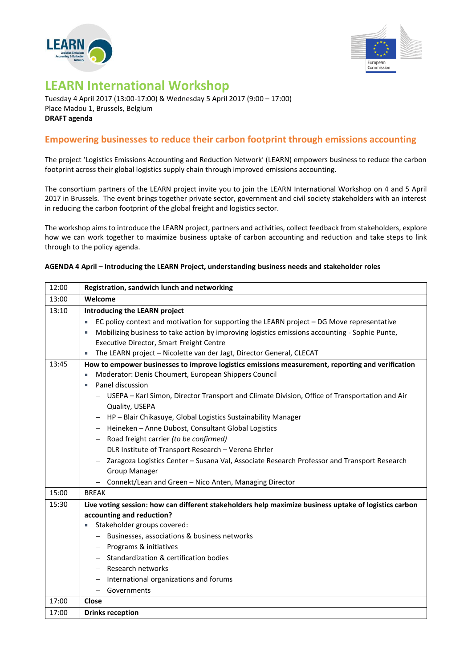



## **LEARN International Workshop**

Tuesday 4 April 2017 (13:00-17:00) & Wednesday 5 April 2017 (9:00 – 17:00) Place Madou 1, Brussels, Belgium **DRAFT agenda**

## **Empowering businesses to reduce their carbon footprint through emissions accounting**

The project 'Logistics Emissions Accounting and Reduction Network' (LEARN) empowers business to reduce the carbon footprint across their global logistics supply chain through improved emissions accounting.

The consortium partners of the LEARN project invite you to join the LEARN International Workshop on 4 and 5 April 2017 in Brussels. The event brings together private sector, government and civil society stakeholders with an interest in reducing the carbon footprint of the global freight and logistics sector.

The workshop aims to introduce the LEARN project, partners and activities, collect feedback from stakeholders, explore how we can work together to maximize business uptake of carbon accounting and reduction and take steps to link through to the policy agenda.

## **AGENDA 4 April – Introducing the LEARN Project, understanding business needs and stakeholder roles**

| 12:00 | Registration, sandwich lunch and networking                                                                                                                                                                                                                                                                                                                                                                                                                                                                                                              |
|-------|----------------------------------------------------------------------------------------------------------------------------------------------------------------------------------------------------------------------------------------------------------------------------------------------------------------------------------------------------------------------------------------------------------------------------------------------------------------------------------------------------------------------------------------------------------|
| 13:00 | Welcome                                                                                                                                                                                                                                                                                                                                                                                                                                                                                                                                                  |
| 13:10 | Introducing the LEARN project                                                                                                                                                                                                                                                                                                                                                                                                                                                                                                                            |
|       | EC policy context and motivation for supporting the LEARN project – DG Move representative                                                                                                                                                                                                                                                                                                                                                                                                                                                               |
|       | Mobilizing business to take action by improving logistics emissions accounting - Sophie Punte,<br>٠                                                                                                                                                                                                                                                                                                                                                                                                                                                      |
|       | Executive Director, Smart Freight Centre                                                                                                                                                                                                                                                                                                                                                                                                                                                                                                                 |
|       | The LEARN project - Nicolette van der Jagt, Director General, CLECAT                                                                                                                                                                                                                                                                                                                                                                                                                                                                                     |
| 13:45 | How to empower businesses to improve logistics emissions measurement, reporting and verification<br>Moderator: Denis Choumert, European Shippers Council<br>Panel discussion<br>- USEPA – Karl Simon, Director Transport and Climate Division, Office of Transportation and Air<br>Quality, USEPA<br>- HP-Blair Chikasuye, Global Logistics Sustainability Manager<br>Heineken - Anne Dubost, Consultant Global Logistics<br>- Road freight carrier (to be confirmed)<br>DLR Institute of Transport Research - Verena Ehrler<br>$\overline{\phantom{m}}$ |
|       | Zaragoza Logistics Center - Susana Val, Associate Research Professor and Transport Research<br><b>Group Manager</b>                                                                                                                                                                                                                                                                                                                                                                                                                                      |
|       | Connekt/Lean and Green - Nico Anten, Managing Director                                                                                                                                                                                                                                                                                                                                                                                                                                                                                                   |
| 15:00 | <b>BREAK</b>                                                                                                                                                                                                                                                                                                                                                                                                                                                                                                                                             |
| 15:30 | Live voting session: how can different stakeholders help maximize business uptake of logistics carbon<br>accounting and reduction?<br>Stakeholder groups covered:<br>ш<br>- Businesses, associations & business networks<br>Programs & initiatives<br>$\qquad \qquad -$<br>Standardization & certification bodies<br>Research networks<br>International organizations and forums<br>$\qquad \qquad -$<br>Governments<br>$\overline{\phantom{0}}$                                                                                                         |
| 17:00 | Close                                                                                                                                                                                                                                                                                                                                                                                                                                                                                                                                                    |
| 17:00 | <b>Drinks reception</b>                                                                                                                                                                                                                                                                                                                                                                                                                                                                                                                                  |